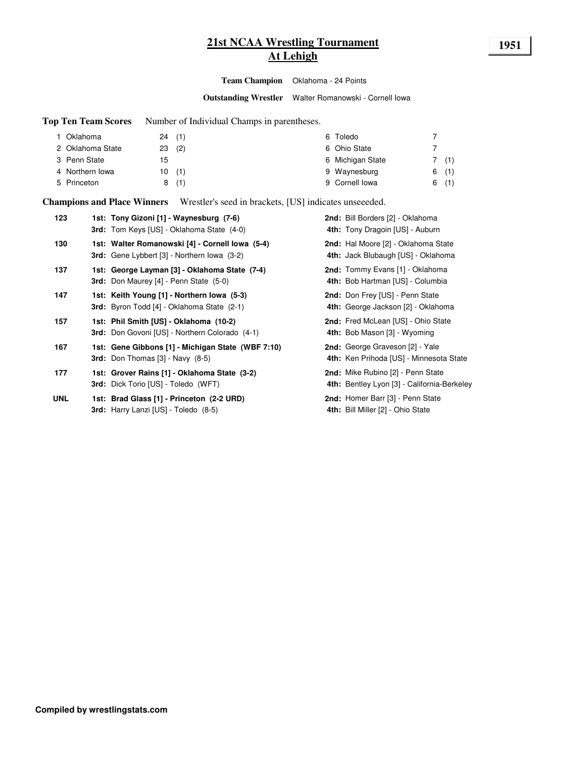# **21st NCAA Wrestling Tournament 1951 At Lehigh**

**Team Champion** Oklahoma - 24 Points

**Outstanding Wrestler** Walter Romanowski - Cornell Iowa

**Top Ten Team Scores** Number of Individual Champs in parentheses.

| I Oklahoma       | 24(1)    |       | 6 Toledo         |      |
|------------------|----------|-------|------------------|------|
| 2 Oklahoma State | $23$ (2) |       | 6 Ohio State     |      |
| 3 Penn State     | 15       |       | 6 Michigan State | 7(1) |
| 4 Northern Iowa  |          | 10(1) | 9 Waynesburg     | 6(1) |
| 5 Princeton      |          | 8(1)  | 9 Cornell lowa   | 6(1) |

**Champions and Place Winners** Wrestler's seed in brackets, [US] indicates unseeeded.

| 123        | 1st: Tony Gizoni [1] - Waynesburg (7-6)<br><b>3rd:</b> Tom Keys [US] - Oklahoma State (4-0)           | 2nd: Bill Borders [2] - Oklahoma<br>4th: Tony Dragoin [US] - Auburn               |
|------------|-------------------------------------------------------------------------------------------------------|-----------------------------------------------------------------------------------|
| 130        | 1st: Walter Romanowski [4] - Cornell Iowa (5-4)<br><b>3rd:</b> Gene Lybbert [3] - Northern Iowa (3-2) | <b>2nd:</b> Hal Moore [2] - Oklahoma State<br>4th: Jack Blubaugh [US] - Oklahoma  |
| 137        | 1st: George Layman [3] - Oklahoma State (7-4)<br><b>3rd:</b> Don Maurey [4] - Penn State (5-0)        | <b>2nd:</b> Tommy Evans [1] - Oklahoma<br>4th: Bob Hartman [US] - Columbia        |
| 147        | 1st: Keith Young [1] - Northern Iowa (5-3)<br><b>3rd:</b> Byron Todd [4] - Oklahoma State (2-1)       | <b>2nd:</b> Don Frey [US] - Penn State<br>4th: George Jackson [2] - Oklahoma      |
| 157        | 1st: Phil Smith [US] - Oklahoma (10-2)<br>3rd: Don Govoni [US] - Northern Colorado (4-1)              | 2nd: Fred McLean [US] - Ohio State<br>4th: Bob Mason [3] - Wyoming                |
| 167        | 1st: Gene Gibbons [1] - Michigan State (WBF 7:10)<br><b>3rd:</b> Don Thomas $[3]$ - Navy $(8-5)$      | <b>2nd:</b> George Graveson [2] - Yale<br>4th: Ken Prihoda [US] - Minnesota State |
| 177        | 1st: Grover Rains [1] - Oklahoma State (3-2)<br>3rd: Dick Torio [US] - Toledo (WFT)                   | 2nd: Mike Rubino [2] - Penn State<br>4th: Bentley Lyon [3] - California-Berkeley  |
| <b>UNL</b> | 1st: Brad Glass [1] - Princeton (2-2 URD)<br>3rd: Harry Lanzi [US] - Toledo (8-5)                     | 2nd: Homer Barr [3] - Penn State<br>4th: Bill Miller [2] - Ohio State             |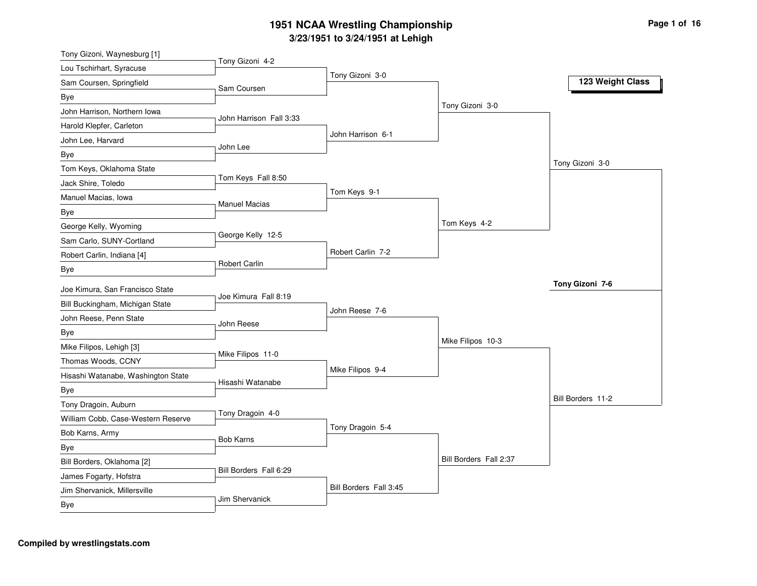| Tony Gizoni, Waynesburg [1]        | Tony Gizoni 4-2         |                        |                        |                   |
|------------------------------------|-------------------------|------------------------|------------------------|-------------------|
| Lou Tschirhart, Syracuse           |                         | Tony Gizoni 3-0        |                        |                   |
| Sam Coursen, Springfield           | Sam Coursen             |                        |                        | 123 Weight Class  |
| Bye                                |                         |                        |                        |                   |
| John Harrison, Northern Iowa       | John Harrison Fall 3:33 |                        | Tony Gizoni 3-0        |                   |
| Harold Klepfer, Carleton           |                         |                        |                        |                   |
| John Lee, Harvard                  | John Lee                | John Harrison 6-1      |                        |                   |
| Bye                                |                         |                        |                        |                   |
| Tom Keys, Oklahoma State           |                         |                        |                        | Tony Gizoni 3-0   |
| Jack Shire, Toledo                 | Tom Keys Fall 8:50      |                        |                        |                   |
| Manuel Macias, Iowa                |                         | Tom Keys 9-1           |                        |                   |
| <b>Bye</b>                         | <b>Manuel Macias</b>    |                        |                        |                   |
| George Kelly, Wyoming              |                         |                        | Tom Keys 4-2           |                   |
| Sam Carlo, SUNY-Cortland           | George Kelly 12-5       |                        |                        |                   |
| Robert Carlin, Indiana [4]         |                         | Robert Carlin 7-2      |                        |                   |
| Bye                                | <b>Robert Carlin</b>    |                        |                        |                   |
| Joe Kimura, San Francisco State    |                         |                        |                        | Tony Gizoni 7-6   |
| Bill Buckingham, Michigan State    | Joe Kimura Fall 8:19    |                        |                        |                   |
|                                    |                         | John Reese 7-6         |                        |                   |
| John Reese, Penn State             | John Reese              |                        |                        |                   |
| Bye                                |                         |                        | Mike Filipos 10-3      |                   |
| Mike Filipos, Lehigh [3]           | Mike Filipos 11-0       |                        |                        |                   |
| Thomas Woods, CCNY                 |                         | Mike Filipos 9-4       |                        |                   |
| Hisashi Watanabe, Washington State | Hisashi Watanabe        |                        |                        |                   |
| <b>Bye</b>                         |                         |                        |                        | Bill Borders 11-2 |
| Tony Dragoin, Auburn               | Tony Dragoin 4-0        |                        |                        |                   |
| William Cobb, Case-Western Reserve |                         | Tony Dragoin 5-4       |                        |                   |
| Bob Karns, Army                    | <b>Bob Karns</b>        |                        |                        |                   |
| Bye                                |                         |                        | Bill Borders Fall 2:37 |                   |
| Bill Borders, Oklahoma [2]         | Bill Borders Fall 6:29  |                        |                        |                   |
| James Fogarty, Hofstra             |                         |                        |                        |                   |
| Jim Shervanick, Millersville       | <b>Jim Shervanick</b>   | Bill Borders Fall 3:45 |                        |                   |
| Bye                                |                         |                        |                        |                   |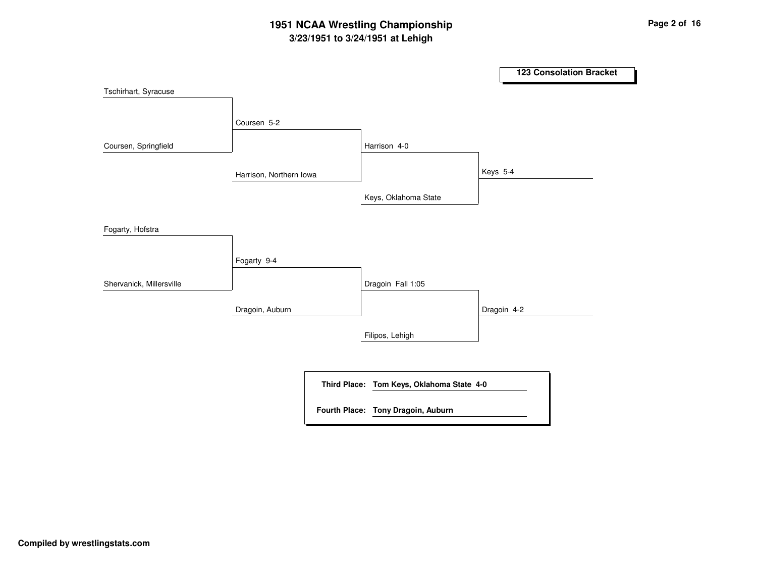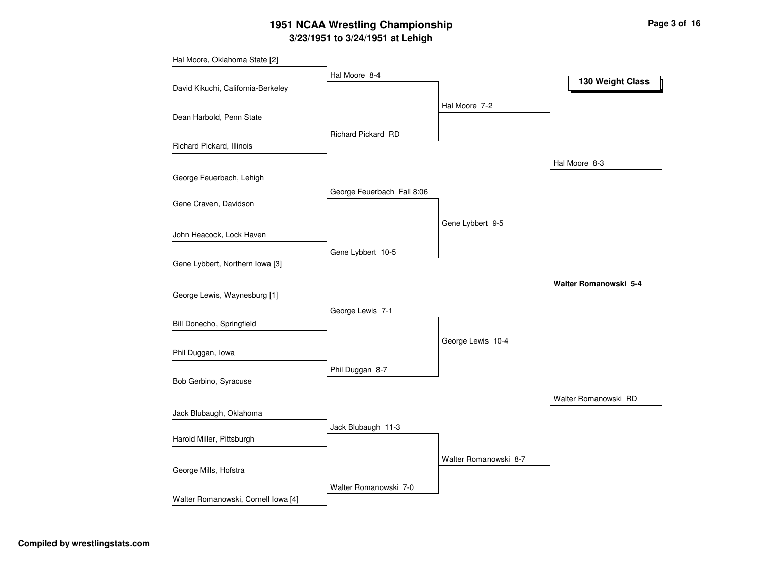|                                     | Hal Moore 8-4              |                       | 130 Weight Class      |
|-------------------------------------|----------------------------|-----------------------|-----------------------|
| David Kikuchi, California-Berkeley  |                            |                       |                       |
|                                     |                            | Hal Moore 7-2         |                       |
| Dean Harbold, Penn State            |                            |                       |                       |
|                                     | Richard Pickard RD         |                       |                       |
| Richard Pickard, Illinois           |                            |                       |                       |
|                                     |                            |                       | Hal Moore 8-3         |
| George Feuerbach, Lehigh            |                            |                       |                       |
|                                     | George Feuerbach Fall 8:06 |                       |                       |
| Gene Craven, Davidson               |                            |                       |                       |
|                                     |                            | Gene Lybbert 9-5      |                       |
| John Heacock, Lock Haven            |                            |                       |                       |
|                                     | Gene Lybbert 10-5          |                       |                       |
| Gene Lybbert, Northern Iowa [3]     |                            |                       |                       |
|                                     |                            |                       | Walter Romanowski 5-4 |
| George Lewis, Waynesburg [1]        |                            |                       |                       |
|                                     | George Lewis 7-1           |                       |                       |
| Bill Donecho, Springfield           |                            |                       |                       |
|                                     |                            | George Lewis 10-4     |                       |
| Phil Duggan, Iowa                   |                            |                       |                       |
|                                     | Phil Duggan 8-7            |                       |                       |
| Bob Gerbino, Syracuse               |                            |                       |                       |
|                                     |                            |                       | Walter Romanowski RD  |
| Jack Blubaugh, Oklahoma             |                            |                       |                       |
| Harold Miller, Pittsburgh           | Jack Blubaugh 11-3         |                       |                       |
|                                     |                            |                       |                       |
|                                     |                            | Walter Romanowski 8-7 |                       |
| George Mills, Hofstra               |                            |                       |                       |
|                                     | Walter Romanowski 7-0      |                       |                       |
| Walter Romanowski, Cornell Iowa [4] |                            |                       |                       |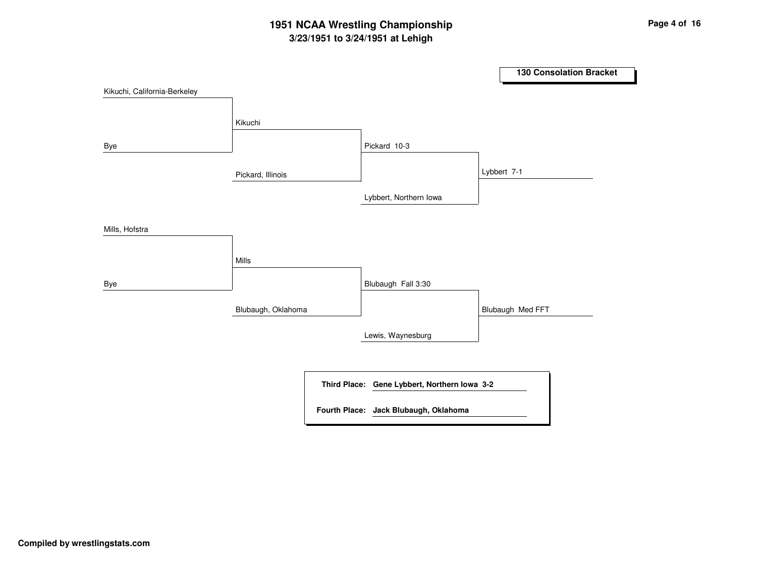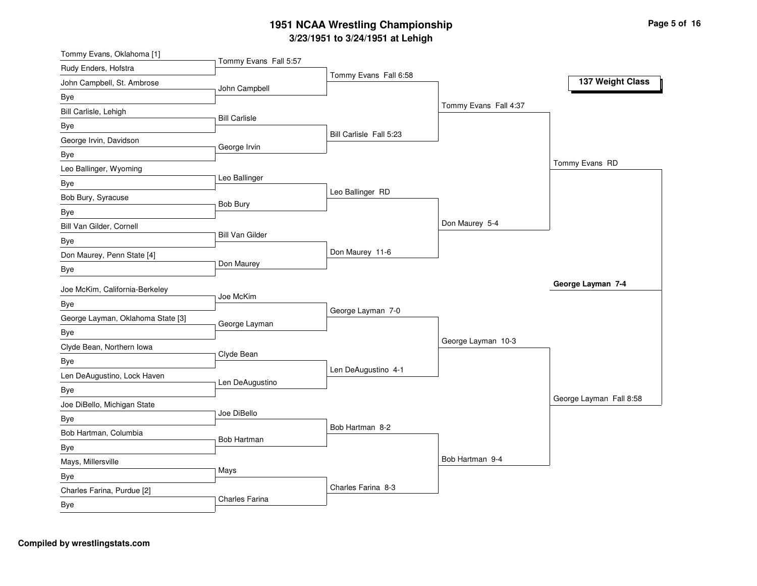| Tommy Evans, Oklahoma [1]         |                        |                         |                       |                         |
|-----------------------------------|------------------------|-------------------------|-----------------------|-------------------------|
| Rudy Enders, Hofstra              | Tommy Evans Fall 5:57  |                         |                       |                         |
| John Campbell, St. Ambrose        | John Campbell          | Tommy Evans Fall 6:58   |                       | 137 Weight Class        |
| Bye                               |                        |                         |                       |                         |
| Bill Carlisle, Lehigh             | <b>Bill Carlisle</b>   |                         | Tommy Evans Fall 4:37 |                         |
| Bye                               |                        |                         |                       |                         |
| George Irvin, Davidson            | George Irvin           | Bill Carlisle Fall 5:23 |                       |                         |
| Bye                               |                        |                         |                       |                         |
| Leo Ballinger, Wyoming            |                        |                         |                       | Tommy Evans RD          |
| Bye                               | Leo Ballinger          |                         |                       |                         |
| Bob Bury, Syracuse                | Bob Bury               | Leo Ballinger RD        |                       |                         |
| Bye                               |                        |                         |                       |                         |
| Bill Van Gilder, Cornell          |                        |                         | Don Maurey 5-4        |                         |
| Bye                               | <b>Bill Van Gilder</b> |                         |                       |                         |
| Don Maurey, Penn State [4]        |                        | Don Maurey 11-6         |                       |                         |
| Bye                               | Don Maurey             |                         |                       |                         |
| Joe McKim, California-Berkeley    |                        |                         |                       | George Layman 7-4       |
| Bye                               | Joe McKim              |                         |                       |                         |
| George Layman, Oklahoma State [3] |                        | George Layman 7-0       |                       |                         |
| Bye                               | George Layman          |                         |                       |                         |
| Clyde Bean, Northern Iowa         |                        |                         | George Layman 10-3    |                         |
| <b>Bye</b>                        | Clyde Bean             |                         |                       |                         |
| Len DeAugustino, Lock Haven       |                        | Len DeAugustino 4-1     |                       |                         |
| Bye                               | Len DeAugustino        |                         |                       |                         |
| Joe DiBello, Michigan State       |                        |                         |                       | George Layman Fall 8:58 |
| Bye                               | Joe DiBello            |                         |                       |                         |
| Bob Hartman, Columbia             |                        | Bob Hartman 8-2         |                       |                         |
| Bye                               | <b>Bob Hartman</b>     |                         |                       |                         |
| Mays, Millersville                |                        |                         | Bob Hartman 9-4       |                         |
| Bye                               | Mays                   |                         |                       |                         |
|                                   |                        |                         |                       |                         |
| Charles Farina, Purdue [2]        | Charles Farina         | Charles Farina 8-3      |                       |                         |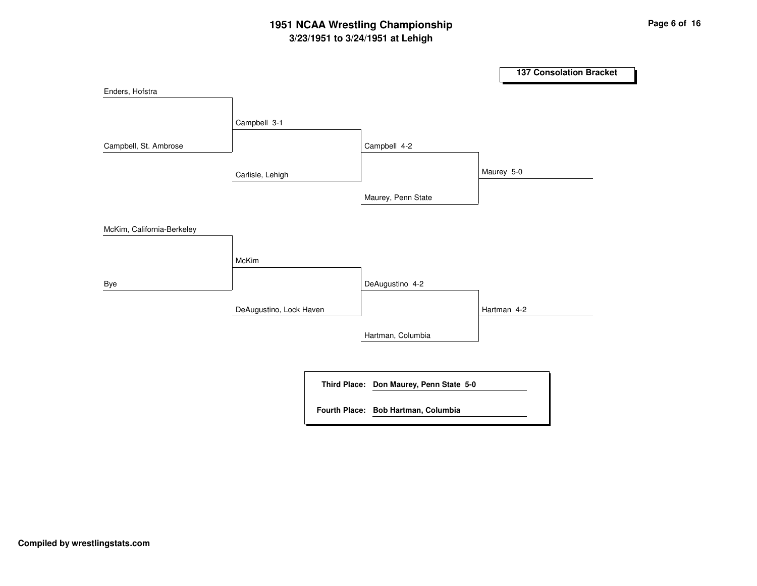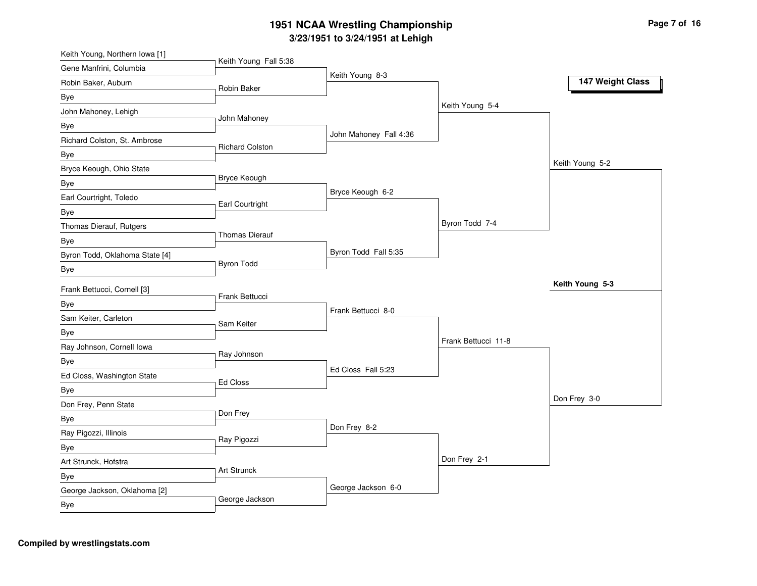| Keith Young, Northern Iowa [1]     | Keith Young Fall 5:38  |                        |                     |                  |
|------------------------------------|------------------------|------------------------|---------------------|------------------|
| Gene Manfrini, Columbia            |                        | Keith Young 8-3        |                     |                  |
| Robin Baker, Auburn                | Robin Baker            |                        |                     | 147 Weight Class |
| Bye                                |                        |                        |                     |                  |
| John Mahoney, Lehigh               |                        |                        | Keith Young 5-4     |                  |
| <b>Bye</b>                         | John Mahoney           |                        |                     |                  |
| Richard Colston, St. Ambrose       |                        | John Mahoney Fall 4:36 |                     |                  |
| <b>Bye</b>                         | <b>Richard Colston</b> |                        |                     |                  |
| Bryce Keough, Ohio State           |                        |                        |                     | Keith Young 5-2  |
| Bye                                | Bryce Keough           |                        |                     |                  |
| Earl Courtright, Toledo            | Earl Courtright        | Bryce Keough 6-2       |                     |                  |
| Bye                                |                        |                        |                     |                  |
| Thomas Dierauf, Rutgers            |                        |                        | Byron Todd 7-4      |                  |
| <b>Bye</b>                         | <b>Thomas Dierauf</b>  |                        |                     |                  |
| Byron Todd, Oklahoma State [4]     |                        | Byron Todd Fall 5:35   |                     |                  |
| Bye                                | <b>Byron Todd</b>      |                        |                     |                  |
| Frank Bettucci, Cornell [3]        |                        |                        |                     | Keith Young 5-3  |
| <b>Bye</b>                         | Frank Bettucci         |                        |                     |                  |
| Sam Keiter, Carleton               |                        | Frank Bettucci 8-0     |                     |                  |
| Bye                                | Sam Keiter             |                        |                     |                  |
| Ray Johnson, Cornell Iowa          |                        |                        | Frank Bettucci 11-8 |                  |
|                                    | Ray Johnson            |                        |                     |                  |
| Bye                                |                        | Ed Closs Fall 5:23     |                     |                  |
| Ed Closs, Washington State         | Ed Closs               |                        |                     |                  |
| <b>Bye</b><br>Don Frey, Penn State |                        |                        |                     | Don Frey 3-0     |
|                                    | Don Frey               |                        |                     |                  |
| Bye                                |                        | Don Frey 8-2           |                     |                  |
| Ray Pigozzi, Illinois              | Ray Pigozzi            |                        |                     |                  |
| Bye                                |                        |                        | Don Frey 2-1        |                  |
| Art Strunck, Hofstra               | Art Strunck            |                        |                     |                  |
| Bye                                |                        | George Jackson 6-0     |                     |                  |
| George Jackson, Oklahoma [2]       | George Jackson         |                        |                     |                  |
| Bye                                |                        |                        |                     |                  |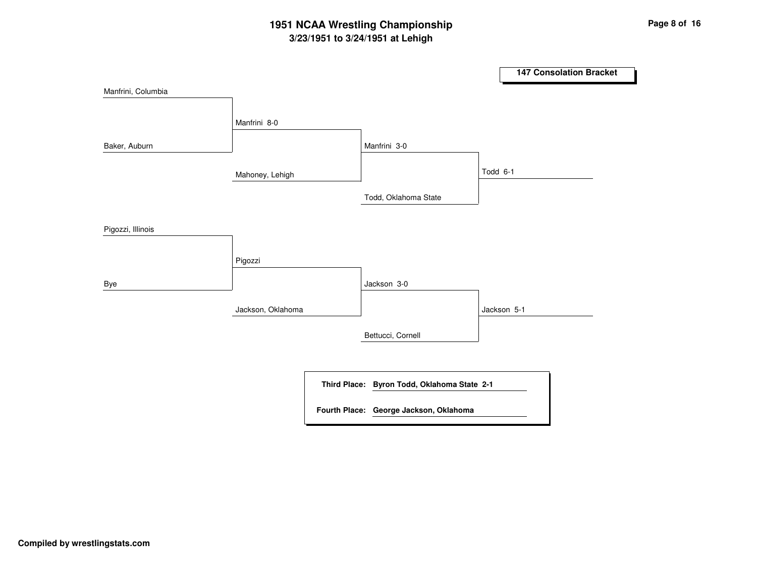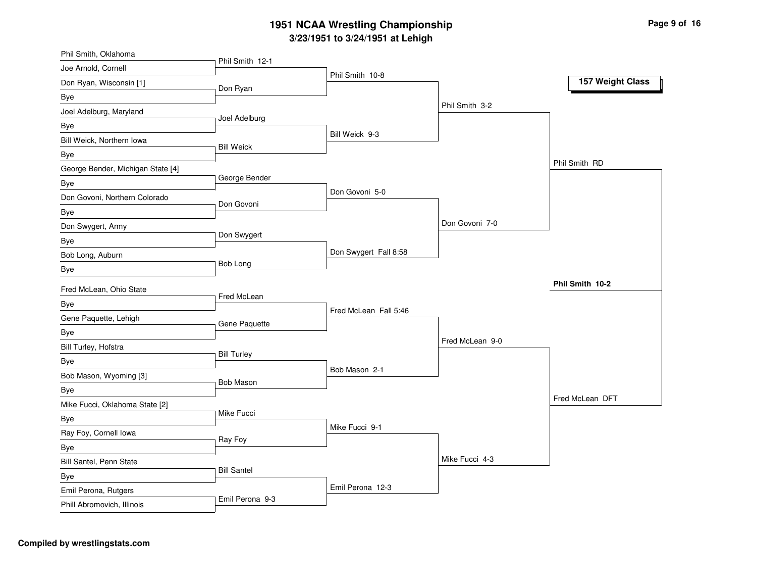| Phil Smith, Oklahoma                               |                    |                       |                 |                  |
|----------------------------------------------------|--------------------|-----------------------|-----------------|------------------|
| Joe Arnold, Cornell                                | Phil Smith 12-1    | Phil Smith 10-8       |                 |                  |
| Don Ryan, Wisconsin [1]                            | Don Ryan           |                       |                 | 157 Weight Class |
| Bye                                                |                    |                       |                 |                  |
| Joel Adelburg, Maryland                            |                    |                       | Phil Smith 3-2  |                  |
| Bye                                                | Joel Adelburg      |                       |                 |                  |
| Bill Weick, Northern Iowa                          | <b>Bill Weick</b>  | Bill Weick 9-3        |                 |                  |
| Bye                                                |                    |                       |                 |                  |
| George Bender, Michigan State [4]                  |                    |                       |                 | Phil Smith RD    |
| Bye                                                | George Bender      |                       |                 |                  |
| Don Govoni, Northern Colorado                      | Don Govoni         | Don Govoni 5-0        |                 |                  |
| Bye                                                |                    |                       |                 |                  |
| Don Swygert, Army                                  |                    |                       | Don Govoni 7-0  |                  |
| Bye                                                | Don Swygert        |                       |                 |                  |
| Bob Long, Auburn                                   |                    | Don Swygert Fall 8:58 |                 |                  |
| Bye                                                | Bob Long           |                       |                 |                  |
|                                                    |                    |                       |                 |                  |
|                                                    |                    |                       |                 | Phil Smith 10-2  |
| Fred McLean, Ohio State                            | Fred McLean        |                       |                 |                  |
| Bye                                                |                    | Fred McLean Fall 5:46 |                 |                  |
| Gene Paquette, Lehigh                              | Gene Paquette      |                       |                 |                  |
| Bye                                                |                    |                       | Fred McLean 9-0 |                  |
| Bill Turley, Hofstra                               | <b>Bill Turley</b> |                       |                 |                  |
| Bye                                                |                    | Bob Mason 2-1         |                 |                  |
| Bob Mason, Wyoming [3]                             | <b>Bob Mason</b>   |                       |                 |                  |
| Bye                                                |                    |                       |                 | Fred McLean DFT  |
| Mike Fucci, Oklahoma State [2]                     | Mike Fucci         |                       |                 |                  |
| Bye                                                |                    | Mike Fucci 9-1        |                 |                  |
| Ray Foy, Cornell Iowa                              | Ray Foy            |                       |                 |                  |
| Bye                                                |                    |                       |                 |                  |
| Bill Santel, Penn State                            | <b>Bill Santel</b> |                       | Mike Fucci 4-3  |                  |
| Bye                                                |                    |                       |                 |                  |
| Emil Perona, Rutgers<br>Phill Abromovich, Illinois | Emil Perona 9-3    | Emil Perona 12-3      |                 |                  |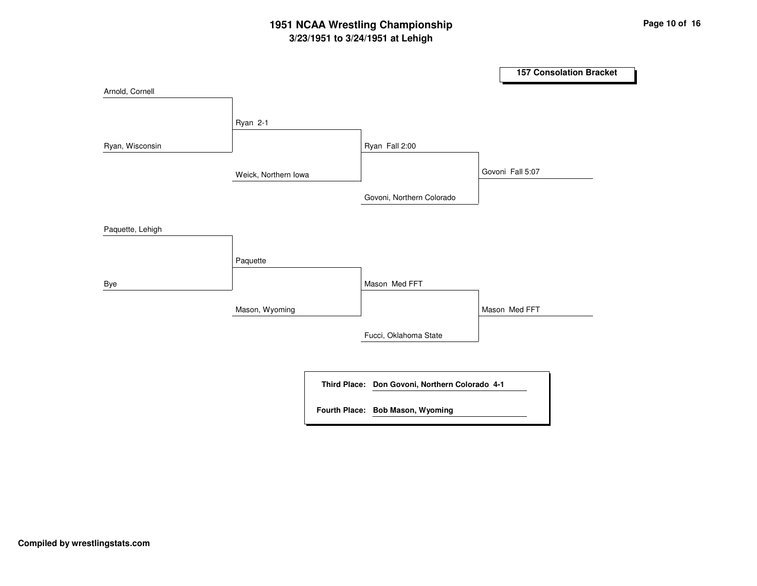## **3/23/1951 to 3/24/1951 at Lehigh 1951 NCAA Wrestling Championship Page <sup>10</sup> of <sup>16</sup>**

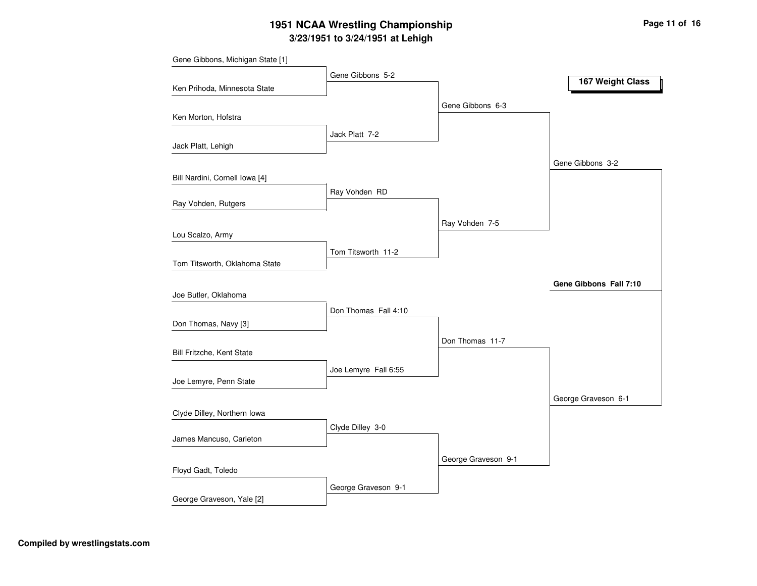# **3/23/1951 to 3/24/1951 at Lehigh 1951 NCAA Wrestling Championship Page <sup>11</sup> of <sup>16</sup>**

| Gene Gibbons, Michigan State [1] |                      |                     |                        |
|----------------------------------|----------------------|---------------------|------------------------|
|                                  | Gene Gibbons 5-2     |                     | 167 Weight Class       |
| Ken Prihoda, Minnesota State     |                      |                     |                        |
| Ken Morton, Hofstra              |                      | Gene Gibbons 6-3    |                        |
|                                  | Jack Platt 7-2       |                     |                        |
| Jack Platt, Lehigh               |                      |                     |                        |
|                                  |                      |                     | Gene Gibbons 3-2       |
| Bill Nardini, Cornell Iowa [4]   |                      |                     |                        |
|                                  | Ray Vohden RD        |                     |                        |
| Ray Vohden, Rutgers              |                      |                     |                        |
|                                  |                      | Ray Vohden 7-5      |                        |
| Lou Scalzo, Army                 |                      |                     |                        |
|                                  | Tom Titsworth 11-2   |                     |                        |
| Tom Titsworth, Oklahoma State    |                      |                     |                        |
|                                  |                      |                     | Gene Gibbons Fall 7:10 |
| Joe Butler, Oklahoma             |                      |                     |                        |
|                                  | Don Thomas Fall 4:10 |                     |                        |
| Don Thomas, Navy [3]             |                      |                     |                        |
|                                  |                      | Don Thomas 11-7     |                        |
| Bill Fritzche, Kent State        |                      |                     |                        |
|                                  | Joe Lemyre Fall 6:55 |                     |                        |
| Joe Lemyre, Penn State           |                      |                     |                        |
|                                  |                      |                     | George Graveson 6-1    |
| Clyde Dilley, Northern Iowa      |                      |                     |                        |
|                                  | Clyde Dilley 3-0     |                     |                        |
| James Mancuso, Carleton          |                      |                     |                        |
|                                  |                      |                     |                        |
| Floyd Gadt, Toledo               |                      | George Graveson 9-1 |                        |
|                                  |                      |                     |                        |
| George Graveson, Yale [2]        | George Graveson 9-1  |                     |                        |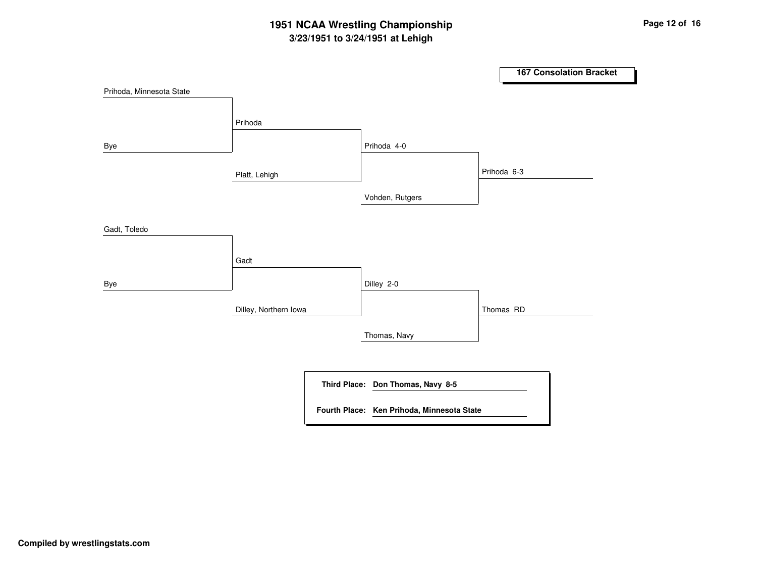## **3/23/1951 to 3/24/1951 at Lehigh 1951 NCAA Wrestling Championship Page <sup>12</sup> of <sup>16</sup>**

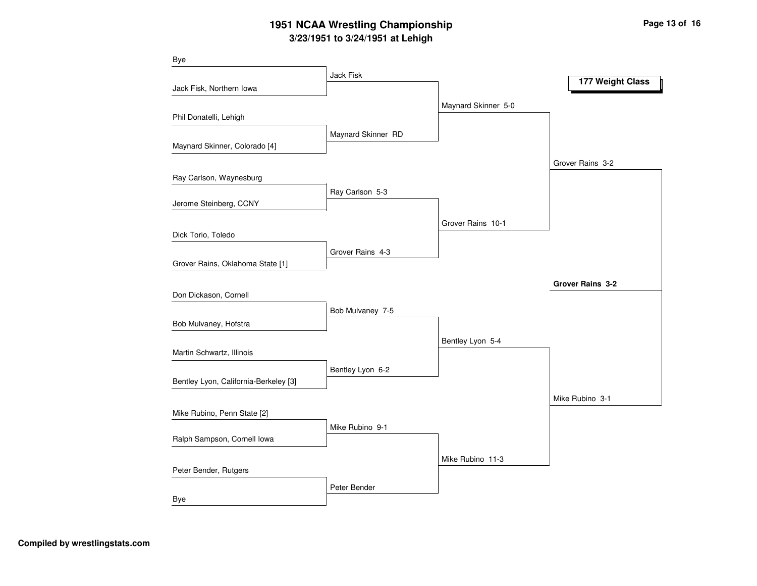## **3/23/1951 to 3/24/1951 at Lehigh 1951 NCAA Wrestling Championship Page <sup>13</sup> of <sup>16</sup>**

| <b>Bye</b>                            |                    |                     |                  |
|---------------------------------------|--------------------|---------------------|------------------|
|                                       | Jack Fisk          |                     | 177 Weight Class |
| Jack Fisk, Northern Iowa              |                    |                     |                  |
|                                       |                    | Maynard Skinner 5-0 |                  |
| Phil Donatelli, Lehigh                |                    |                     |                  |
|                                       | Maynard Skinner RD |                     |                  |
| Maynard Skinner, Colorado [4]         |                    |                     |                  |
|                                       |                    |                     | Grover Rains 3-2 |
| Ray Carlson, Waynesburg               |                    |                     |                  |
|                                       | Ray Carlson 5-3    |                     |                  |
| Jerome Steinberg, CCNY                |                    |                     |                  |
|                                       |                    | Grover Rains 10-1   |                  |
| Dick Torio, Toledo                    |                    |                     |                  |
|                                       | Grover Rains 4-3   |                     |                  |
| Grover Rains, Oklahoma State [1]      |                    |                     |                  |
|                                       |                    |                     | Grover Rains 3-2 |
| Don Dickason, Cornell                 |                    |                     |                  |
|                                       | Bob Mulvaney 7-5   |                     |                  |
| Bob Mulvaney, Hofstra                 |                    |                     |                  |
|                                       |                    | Bentley Lyon 5-4    |                  |
| Martin Schwartz, Illinois             |                    |                     |                  |
|                                       | Bentley Lyon 6-2   |                     |                  |
| Bentley Lyon, California-Berkeley [3] |                    |                     |                  |
|                                       |                    |                     | Mike Rubino 3-1  |
| Mike Rubino, Penn State [2]           |                    |                     |                  |
| Ralph Sampson, Cornell Iowa           | Mike Rubino 9-1    |                     |                  |
|                                       |                    |                     |                  |
|                                       |                    | Mike Rubino 11-3    |                  |
| Peter Bender, Rutgers                 |                    |                     |                  |
|                                       | Peter Bender       |                     |                  |
| Bye                                   |                    |                     |                  |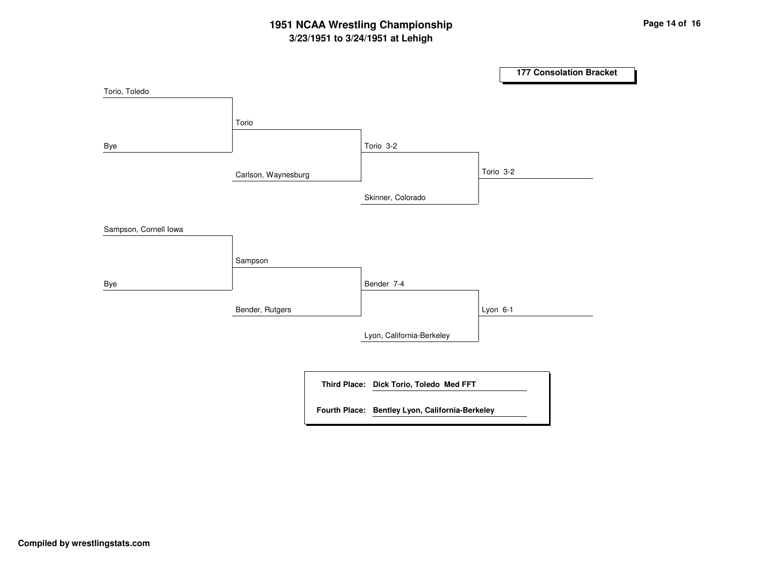## **3/23/1951 to 3/24/1951 at Lehigh 1951 NCAA Wrestling Championship Page <sup>14</sup> of <sup>16</sup>**

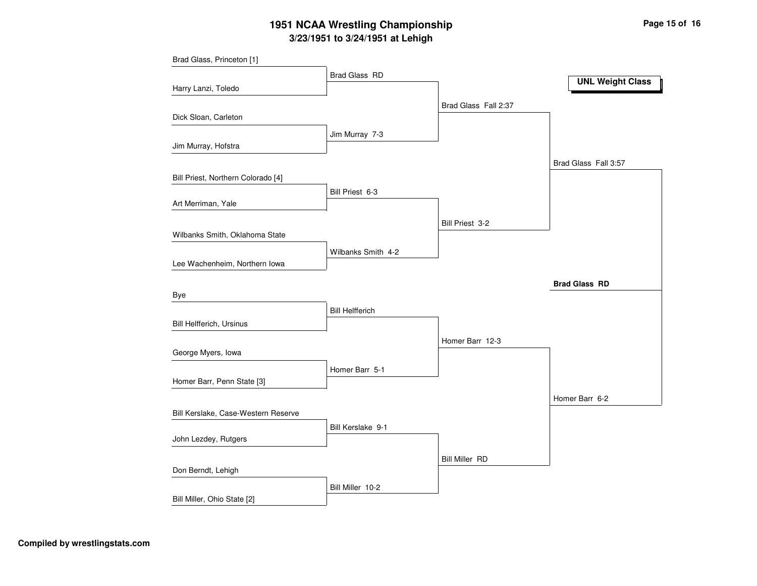# **3/23/1951 to 3/24/1951 at Lehigh 1951 NCAA Wrestling Championship Page <sup>15</sup> of <sup>16</sup>**

| Brad Glass, Princeton [1]           |                        |                       |                         |
|-------------------------------------|------------------------|-----------------------|-------------------------|
|                                     | Brad Glass RD          |                       | <b>UNL Weight Class</b> |
| Harry Lanzi, Toledo                 |                        |                       |                         |
|                                     |                        | Brad Glass Fall 2:37  |                         |
| Dick Sloan, Carleton                |                        |                       |                         |
|                                     | Jim Murray 7-3         |                       |                         |
| Jim Murray, Hofstra                 |                        |                       |                         |
|                                     |                        |                       | Brad Glass Fall 3:57    |
| Bill Priest, Northern Colorado [4]  |                        |                       |                         |
|                                     | Bill Priest 6-3        |                       |                         |
| Art Merriman, Yale                  |                        |                       |                         |
|                                     |                        | Bill Priest 3-2       |                         |
| Wilbanks Smith, Oklahoma State      |                        |                       |                         |
|                                     | Wilbanks Smith 4-2     |                       |                         |
| Lee Wachenheim, Northern Iowa       |                        |                       |                         |
|                                     |                        |                       | <b>Brad Glass RD</b>    |
| Bye                                 |                        |                       |                         |
|                                     | <b>Bill Helfferich</b> |                       |                         |
| Bill Helfferich, Ursinus            |                        |                       |                         |
|                                     |                        | Homer Barr 12-3       |                         |
| George Myers, Iowa                  |                        |                       |                         |
|                                     | Homer Barr 5-1         |                       |                         |
| Homer Barr, Penn State [3]          |                        |                       |                         |
|                                     |                        |                       | Homer Barr 6-2          |
| Bill Kerslake, Case-Western Reserve |                        |                       |                         |
| John Lezdey, Rutgers                | Bill Kerslake 9-1      |                       |                         |
|                                     |                        |                       |                         |
|                                     |                        | <b>Bill Miller RD</b> |                         |
| Don Berndt, Lehigh                  |                        |                       |                         |
|                                     | Bill Miller 10-2       |                       |                         |
| Bill Miller, Ohio State [2]         |                        |                       |                         |